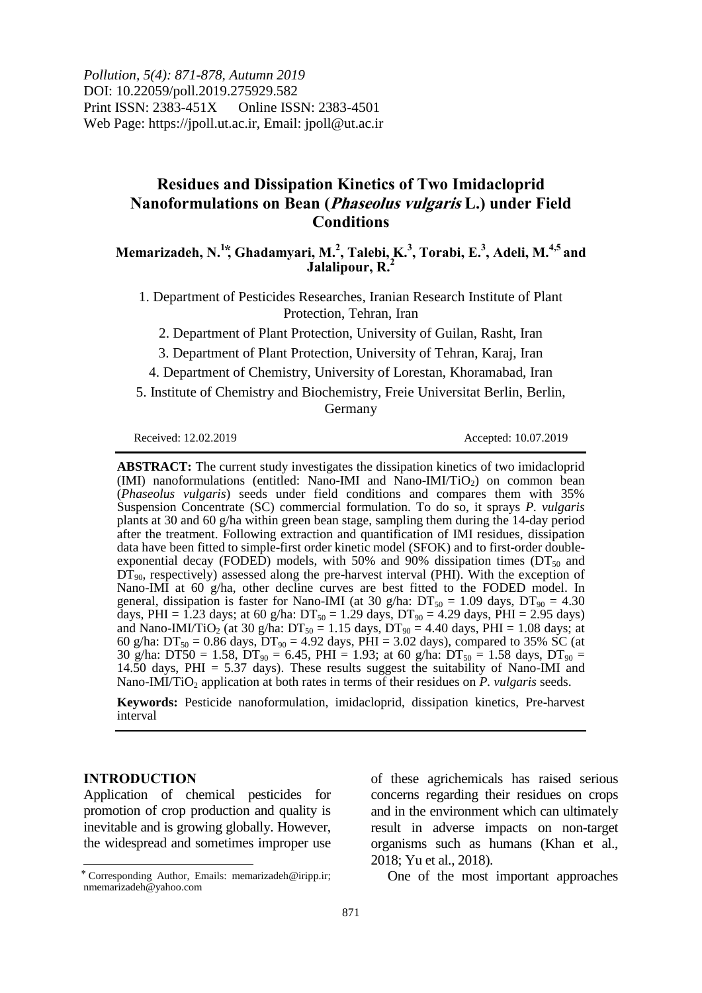*Pollution, 5(4): 871-878, Autumn 2019* DOI: 10.22059/poll.2019.275929.582 Print ISSN: 2383-451X Online ISSN: 2383-4501 Web Page: https://jpoll.ut.ac.ir, Email: jpoll@ut.ac.ir

# **Residues and Dissipation Kinetics of Two Imidacloprid Nanoformulations on Bean (Phaseolus vulgaris L.) under Field Conditions**

## **Memarizadeh, N. 1 ⃰, Ghadamyari, M. 2 , Talebi, K. 3 , Torabi, E. 3 , Adeli, M. 4,5 and Jalalipour, R. 2**

1. Department of Pesticides Researches, Iranian Research Institute of Plant Protection, Tehran, Iran

2. Department of Plant Protection, University of Guilan, Rasht, Iran

3. Department of Plant Protection, University of Tehran, Karaj, Iran

4. Department of Chemistry, University of Lorestan, Khoramabad, Iran

5. Institute of Chemistry and Biochemistry, Freie Universitat Berlin, Berlin, Germany

Received: 12.02.2019 Accepted: 10.07.2019

**ABSTRACT:** The current study investigates the dissipation kinetics of two imidacloprid (IMI) nanoformulations (entitled: Nano-IMI and Nano-IMI/TiO<sub>2</sub>) on common bean (*Phaseolus vulgaris*) seeds under field conditions and compares them with 35% Suspension Concentrate (SC) commercial formulation. To do so, it sprays *P. vulgaris* plants at 30 and 60 g/ha within green bean stage, sampling them during the 14-day period after the treatment. Following extraction and quantification of IMI residues, dissipation data have been fitted to simple-first order kinetic model (SFOK) and to first-order doubleexponential decay (FODED) models, with 50% and 90% dissipation times ( $DT<sub>50</sub>$  and  $D\dot{T}_{90}$ , respectively) assessed along the pre-harvest interval (PHI). With the exception of Nano-IMI at 60 g/ha, other decline curves are best fitted to the FODED model. In general, dissipation is faster for Nano-IMI (at 30 g/ha:  $DT_{50} = 1.09$  days,  $DT_{90} = 4.30$ days, PHI = 1.23 days; at 60 g/ha:  $DT_{50} = 1.29$  days,  $DT_{90} = 4.29$  days, PHI = 2.95 days) and Nano-IMI/TiO<sub>2</sub> (at 30 g/ha:  $DT_{50} = 1.15$  days,  $DT_{90} = 4.40$  days,  $PHI = 1.08$  days; at 60 g/ha:  $DT_{50} = 0.86$  days,  $DT_{90} = 4.92$  days,  $PHI = 3.02$  days), compared to 35% SC (at 30 g/ha: DT50 = 1.58, DT<sub>90</sub> = 6.45, PHI = 1.93; at 60 g/ha: DT<sub>50</sub> = 1.58 days, DT<sub>90</sub> = 14.50 days, PHI = 5.37 days). These results suggest the suitability of Nano-IMI and Nano-IMI/TiO<sub>2</sub> application at both rates in terms of their residues on *P. vulgaris* seeds.

**Keywords:** Pesticide nanoformulation, imidacloprid, dissipation kinetics, Pre-harvest interval

## **INTRODUCTION**

 $\overline{a}$ 

Application of chemical pesticides for promotion of crop production and quality is inevitable and is growing globally. However, the widespread and sometimes improper use of these agrichemicals has raised serious concerns regarding their residues on crops and in the environment which can ultimately result in adverse impacts on non-target organisms such as humans (Khan et al., 2018; Yu et al., 2018).

One of the most important approaches

<sup>⃰</sup>Corresponding Author, Emails: memarizadeh@iripp.ir; nmemarizadeh@yahoo.com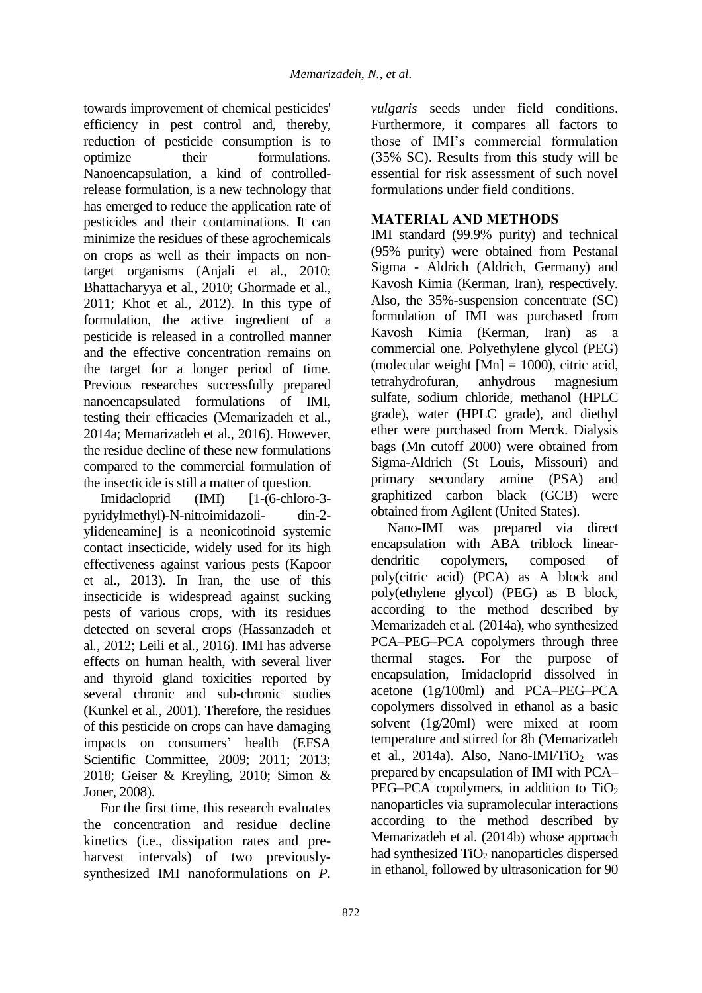towards improvement of chemical pesticides' efficiency in pest control and, thereby, reduction of pesticide consumption is to optimize their formulations. Nanoencapsulation, a kind of controlledrelease formulation, is a new technology that has emerged to reduce the application rate of pesticides and their contaminations. It can minimize the residues of these agrochemicals on crops as well as their impacts on nontarget organisms (Anjali et al*.*, 2010; Bhattacharyya et al*.*, 2010; Ghormade et al*.*, 2011; Khot et al*.*, 2012). In this type of formulation, the active ingredient of a pesticide is released in a controlled manner and the effective concentration remains on the target for a longer period of time. Previous researches successfully prepared nanoencapsulated formulations of IMI, testing their efficacies (Memarizadeh et al*.*, 2014a; Memarizadeh et al*.*, 2016). However, the residue decline of these new formulations compared to the commercial formulation of the insecticide is still a matter of question.

Imidacloprid (IMI) [1-(6-chloro-3pyridylmethyl)-N-nitroimidazoli- din-2 ylideneamine] is a neonicotinoid systemic contact insecticide, widely used for its high effectiveness against various pests (Kapoor et al., 2013). In Iran, the use of this insecticide is widespread against sucking pests of various crops, with its residues detected on several crops (Hassanzadeh et al*.*, 2012; Leili et al*.*, 2016). IMI has adverse effects on human health, with several liver and thyroid gland toxicities reported by several chronic and sub-chronic studies (Kunkel et al*.*, 2001). Therefore, the residues of this pesticide on crops can have damaging impacts on consumers' health (EFSA Scientific Committee, 2009; 2011; 2013; 2018; Geiser & Kreyling, 2010; Simon & Joner, 2008).

For the first time, this research evaluates the concentration and residue decline kinetics (i.e., dissipation rates and preharvest intervals) of two previouslysynthesized IMI nanoformulations on *P.*  *vulgaris* seeds under field conditions. Furthermore, it compares all factors to those of IMI's commercial formulation (35% SC). Results from this study will be essential for risk assessment of such novel formulations under field conditions.

## **MATERIAL AND METHODS**

IMI standard (99.9% purity) and technical (95% purity) were obtained from Pestanal Sigma - Aldrich (Aldrich, Germany) and Kavosh Kimia (Kerman, Iran), respectively. Also, the 35%-suspension concentrate (SC) formulation of IMI was purchased from Kavosh Kimia (Kerman, Iran) as a commercial one. Polyethylene glycol (PEG) (molecular weight  $[Mn] = 1000$ ), citric acid, tetrahydrofuran, anhydrous magnesium sulfate, sodium chloride, methanol (HPLC grade), water (HPLC grade), and diethyl ether were purchased from Merck. Dialysis bags (Mn cutoff 2000) were obtained from Sigma-Aldrich (St Louis, Missouri) and primary secondary amine (PSA) and graphitized carbon black (GCB) were obtained from Agilent (United States).

Nano-IMI was prepared via direct encapsulation with ABA triblock lineardendritic copolymers, composed of poly(citric acid) (PCA) as A block and poly(ethylene glycol) (PEG) as B block, according to the method described by Memarizadeh et al*.* (2014a), who synthesized PCA–PEG–PCA copolymers through three thermal stages. For the purpose of encapsulation, Imidacloprid dissolved in acetone (1g/100ml) and PCA–PEG–PCA copolymers dissolved in ethanol as a basic solvent (1g/20ml) were mixed at room temperature and stirred for 8h (Memarizadeh et al., 2014a). Also, Nano-IMI/TiO<sub>2</sub> was prepared by encapsulation of IMI with PCA– PEG–PCA copolymers, in addition to  $TiO<sub>2</sub>$ nanoparticles via supramolecular interactions according to the method described by Memarizadeh et al*.* (2014b) whose approach had synthesized  $TiO<sub>2</sub>$  nanoparticles dispersed in ethanol, followed by ultrasonication for 90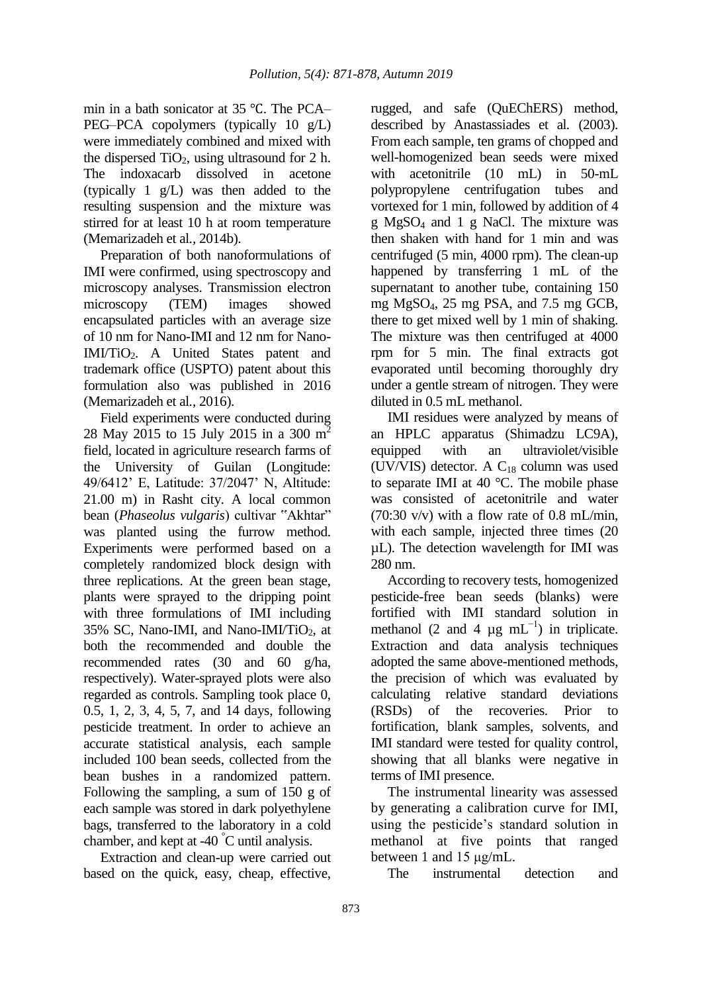min in a bath sonicator at 35 ℃. The PCA– PEG–PCA copolymers (typically 10 g/L) were immediately combined and mixed with the dispersed  $TiO<sub>2</sub>$ , using ultrasound for 2 h. The indoxacarb dissolved in acetone (typically 1 g/L) was then added to the resulting suspension and the mixture was stirred for at least 10 h at room temperature (Memarizadeh et al*.*, 2014b).

Preparation of both nanoformulations of IMI were confirmed, using spectroscopy and microscopy analyses. Transmission electron microscopy (TEM) images showed encapsulated particles with an average size of 10 nm for Nano-IMI and 12 nm for Nano-IMI/TiO2. A United States patent and trademark office (USPTO) patent about this formulation also was published in 2016 (Memarizadeh et al*.*, 2016).

Field experiments were conducted during 28 May 2015 to 15 July 2015 in a 300 m<sup>2</sup> field, located in agriculture research farms of the University of Guilan (Longitude: 49/6412' E, Latitude: 37/2047' N, Altitude: 21.00 m) in Rasht city. A local common bean (*Phaseolus vulgaris*) cultivar "Akhtar" was planted using the furrow method. Experiments were performed based on a completely randomized block design with three replications. At the green bean stage, plants were sprayed to the dripping point with three formulations of IMI including 35% SC, Nano-IMI, and Nano-IMI/TiO<sub>2</sub>, at both the recommended and double the recommended rates (30 and 60 g/ha, respectively). Water-sprayed plots were also regarded as controls. Sampling took place 0, 0.5, 1, 2, 3, 4, 5, 7, and 14 days, following pesticide treatment. In order to achieve an accurate statistical analysis, each sample included 100 bean seeds, collected from the bean bushes in a randomized pattern. Following the sampling, a sum of 150 g of each sample was stored in dark polyethylene bags, transferred to the laboratory in a cold chamber, and kept at -40 °C until analysis.

Extraction and clean-up were carried out based on the quick, easy, cheap, effective,

rugged, and safe (QuEChERS) method, described by Anastassiades et al*.* (2003). From each sample, ten grams of chopped and well-homogenized bean seeds were mixed with acetonitrile (10 mL) in 50-mL polypropylene centrifugation tubes and vortexed for 1 min, followed by addition of 4 g MgSO<sup>4</sup> and 1 g NaCl. The mixture was then shaken with hand for 1 min and was centrifuged (5 min, 4000 rpm). The clean-up happened by transferring 1 mL of the supernatant to another tube, containing 150 mg MgSO4, 25 mg PSA, and 7.5 mg GCB, there to get mixed well by 1 min of shaking. The mixture was then centrifuged at 4000 rpm for 5 min. The final extracts got evaporated until becoming thoroughly dry under a gentle stream of nitrogen. They were diluted in 0.5 mL methanol.

IMI residues were analyzed by means of an HPLC apparatus (Shimadzu LC9A), equipped with an ultraviolet/visible (UV/VIS) detector. A  $C_{18}$  column was used to separate IMI at 40 °C. The mobile phase was consisted of acetonitrile and water  $(70:30 \text{ v/v})$  with a flow rate of 0.8 mL/min, with each sample, injected three times (20 µL). The detection wavelength for IMI was 280 nm.

According to recovery tests, homogenized pesticide-free bean seeds (blanks) were fortified with IMI standard solution in methanol (2 and 4  $\mu$ g mL<sup>-1</sup>) in triplicate. Extraction and data analysis techniques adopted the same above-mentioned methods, the precision of which was evaluated by calculating relative standard deviations (RSDs) of the recoveries. Prior to fortification, blank samples, solvents, and IMI standard were tested for quality control, showing that all blanks were negative in terms of IMI presence.

The instrumental linearity was assessed by generating a calibration curve for IMI, using the pesticide's standard solution in methanol at five points that ranged between 1 and 15 μg/mL.

The instrumental detection and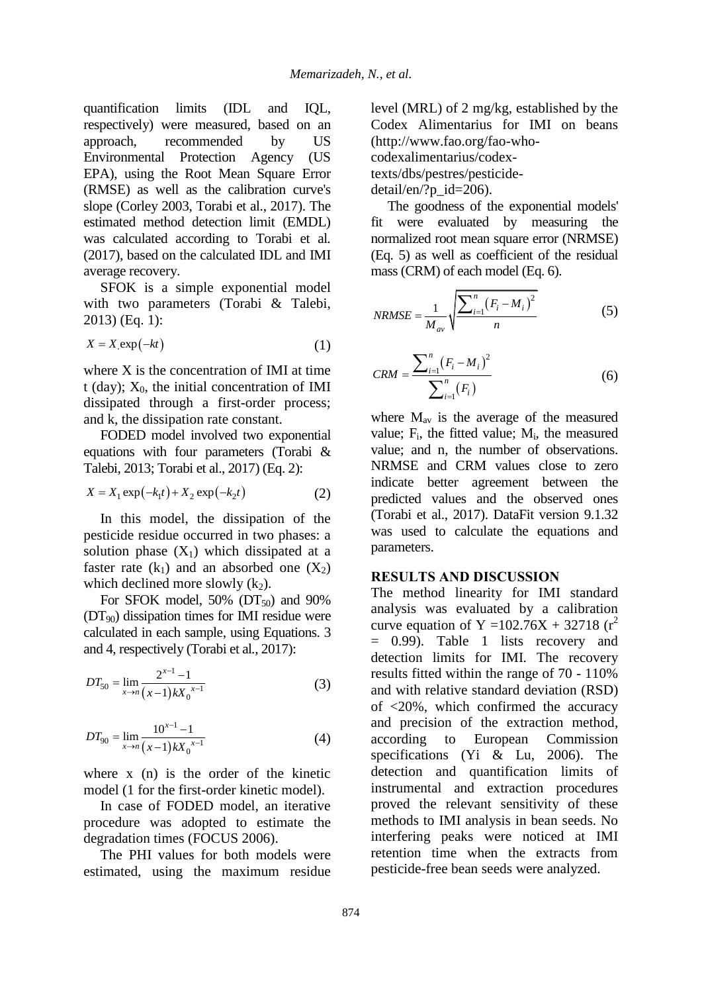quantification limits (IDL and IQL, respectively) were measured, based on an approach, recommended by US Environmental Protection Agency (US EPA), using the Root Mean Square Error (RMSE) as well as the calibration curve's slope (Corley 2003, Torabi et al., 2017). The estimated method detection limit (EMDL) was calculated according to Torabi et al*.* (2017), based on the calculated IDL and IMI average recovery.

SFOK is a simple exponential model with two parameters (Torabi & Talebi, 2013) (Eq. 1):

$$
X = X \exp(-kt) \tag{1}
$$

where X is the concentration of IMI at time t (day);  $X_0$ , the initial concentration of IMI dissipated through a first-order process; and k, the dissipation rate constant.

FODED model involved two exponential equations with four parameters (Torabi & Talebi, 2013; Torabi et al., 2017) (Eq. 2):

$$
X = X_1 \exp(-k_1 t) + X_2 \exp(-k_2 t)
$$
 (2)

In this model, the dissipation of the pesticide residue occurred in two phases: a solution phase  $(X_1)$  which dissipated at a faster rate  $(k_1)$  and an absorbed one  $(X_2)$ which declined more slowly  $(k_2)$ .

For SFOK model,  $50\%$  (DT<sub>50</sub>) and  $90\%$  $(DT<sub>90</sub>)$  dissipation times for IMI residue were calculated in each sample, using Equations. 3 and 4, respectively (Torabi et al*.*, 2017):

$$
DT_{50} = \lim_{x \to n} \frac{2^{x-1} - 1}{(x-1)kX_0^{x-1}}
$$
 (3)

$$
DT_{90} = \lim_{x \to n} \frac{10^{x-1} - 1}{(x-1)kX_0^{x-1}}
$$
(4)

where x (n) is the order of the kinetic model (1 for the first-order kinetic model).

In case of FODED model, an iterative procedure was adopted to estimate the degradation times (FOCUS 2006).

The PHI values for both models were estimated, using the maximum residue level (MRL) of 2 mg/kg, established by the Codex Alimentarius for IMI on beans (http://www.fao.org/fao-whocodexalimentarius/codextexts/dbs/pestres/pesticidedetail/en/?p\_id=206).

The goodness of the exponential models' fit were evaluated by measuring the normalized root mean square error (NRMSE) (Eq. 5) as well as coefficient of the residual mass (CRM) of each model (Eq. 6).

$$
NRMSE = \frac{1}{M_{av}} \sqrt{\frac{\sum_{i=1}^{n} (F_i - M_i)^2}{n}}
$$
(5)

$$
CRM = \frac{\sum_{i=1}^{n} (F_i - M_i)^2}{\sum_{i=1}^{n} (F_i)}
$$
(6)

where  $M_{av}$  is the average of the measured value; F<sub>i</sub>, the fitted value; M<sub>i</sub>, the measured value; and n, the number of observations. NRMSE and CRM values close to zero indicate better agreement between the predicted values and the observed ones (Torabi et al., 2017). DataFit version 9.1.32 was used to calculate the equations and parameters.

## **RESULTS AND DISCUSSION**

The method linearity for IMI standard analysis was evaluated by a calibration curve equation of Y =102.76X + 32718 ( $r^2$ ) = 0.99). Table 1 lists recovery and detection limits for IMI. The recovery results fitted within the range of 70 - 110% and with relative standard deviation (RSD) of <20%, which confirmed the accuracy and precision of the extraction method, according to European Commission specifications (Yi & Lu, 2006). The detection and quantification limits of instrumental and extraction procedures proved the relevant sensitivity of these methods to IMI analysis in bean seeds. No interfering peaks were noticed at IMI retention time when the extracts from pesticide-free bean seeds were analyzed.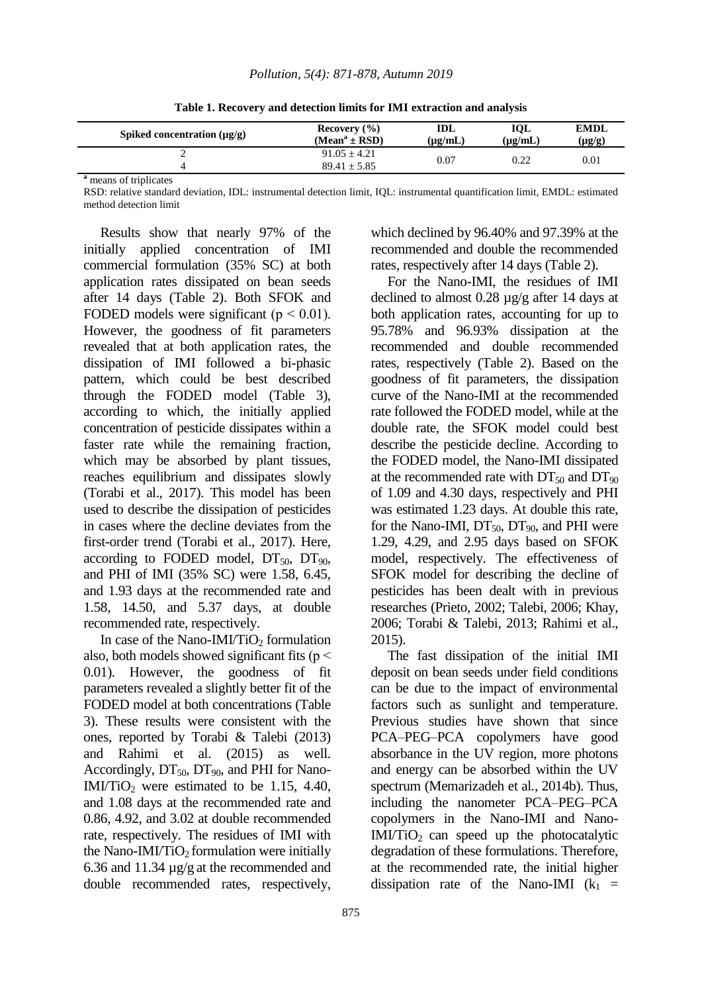| Spiked concentration $(\mu g/g)$ | Recovery $(\% )$                     | IDL          | <b>IOL</b>   | <b>EMDL</b> |
|----------------------------------|--------------------------------------|--------------|--------------|-------------|
|                                  | $(Meana \pm RSD)$                    | $(\mu g/mL)$ | $(\mu g/mL)$ | $(\mu g/g)$ |
| ∸                                | $91.05 \pm 4.21$<br>$89.41 \pm 5.85$ | 0.07         | 0.22         | 0.01        |

**Table 1. Recovery and detection limits for IMI extraction and analysis**

**<sup>a</sup>** means of triplicates

RSD: relative standard deviation, IDL: instrumental detection limit, IQL: instrumental quantification limit, EMDL: estimated method detection limit

Results show that nearly 97% of the initially applied concentration of IMI commercial formulation (35% SC) at both application rates dissipated on bean seeds after 14 days (Table 2). Both SFOK and FODED models were significant ( $p < 0.01$ ). However, the goodness of fit parameters revealed that at both application rates, the dissipation of IMI followed a bi-phasic pattern, which could be best described through the FODED model (Table 3), according to which, the initially applied concentration of pesticide dissipates within a faster rate while the remaining fraction, which may be absorbed by plant tissues, reaches equilibrium and dissipates slowly (Torabi et al., 2017). This model has been used to describe the dissipation of pesticides in cases where the decline deviates from the first-order trend (Torabi et al., 2017). Here, according to FODED model,  $DT_{50}$ ,  $DT_{90}$ , and PHI of IMI (35% SC) were 1.58, 6.45, and 1.93 days at the recommended rate and 1.58, 14.50, and 5.37 days, at double recommended rate, respectively.

In case of the Nano-IMI/TiO<sub>2</sub> formulation also, both models showed significant fits ( $p <$ 0.01). However, the goodness of fit parameters revealed a slightly better fit of the FODED model at both concentrations (Table 3). These results were consistent with the ones, reported by Torabi & Talebi (2013) and Rahimi et al. (2015) as well. Accordingly,  $DT_{50}$ ,  $DT_{90}$ , and PHI for Nano-IMI/TiO<sub>2</sub> were estimated to be 1.15, 4.40, and 1.08 days at the recommended rate and 0.86, 4.92, and 3.02 at double recommended rate, respectively. The residues of IMI with the Nano-IMI/TiO<sub>2</sub> formulation were initially 6.36 and 11.34 µg/g at the recommended and double recommended rates, respectively,

which declined by 96.40% and 97.39% at the recommended and double the recommended rates, respectively after 14 days (Table 2).

For the Nano-IMI, the residues of IMI declined to almost 0.28 µg/g after 14 days at both application rates, accounting for up to 95.78% and 96.93% dissipation at the recommended and double recommended rates, respectively (Table 2). Based on the goodness of fit parameters, the dissipation curve of the Nano-IMI at the recommended rate followed the FODED model, while at the double rate, the SFOK model could best describe the pesticide decline. According to the FODED model, the Nano-IMI dissipated at the recommended rate with  $DT_{50}$  and  $DT_{90}$ of 1.09 and 4.30 days, respectively and PHI was estimated 1.23 days. At double this rate, for the Nano-IMI,  $DT_{50}$ ,  $DT_{90}$ , and PHI were 1.29, 4.29, and 2.95 days based on SFOK model, respectively. The effectiveness of SFOK model for describing the decline of pesticides has been dealt with in previous researches (Prieto, 2002; Talebi, 2006; Khay, 2006; Torabi & Talebi, 2013; Rahimi et al., 2015).

The fast dissipation of the initial IMI deposit on bean seeds under field conditions can be due to the impact of environmental factors such as sunlight and temperature. Previous studies have shown that since PCA–PEG–PCA copolymers have good absorbance in the UV region, more photons and energy can be absorbed within the UV spectrum (Memarizadeh et al*.*, 2014b). Thus, including the nanometer PCA–PEG–PCA copolymers in the Nano-IMI and Nano- $IMl/TiO<sub>2</sub>$  can speed up the photocatalytic degradation of these formulations. Therefore, at the recommended rate, the initial higher dissipation rate of the Nano-IMI  $(k_1 =$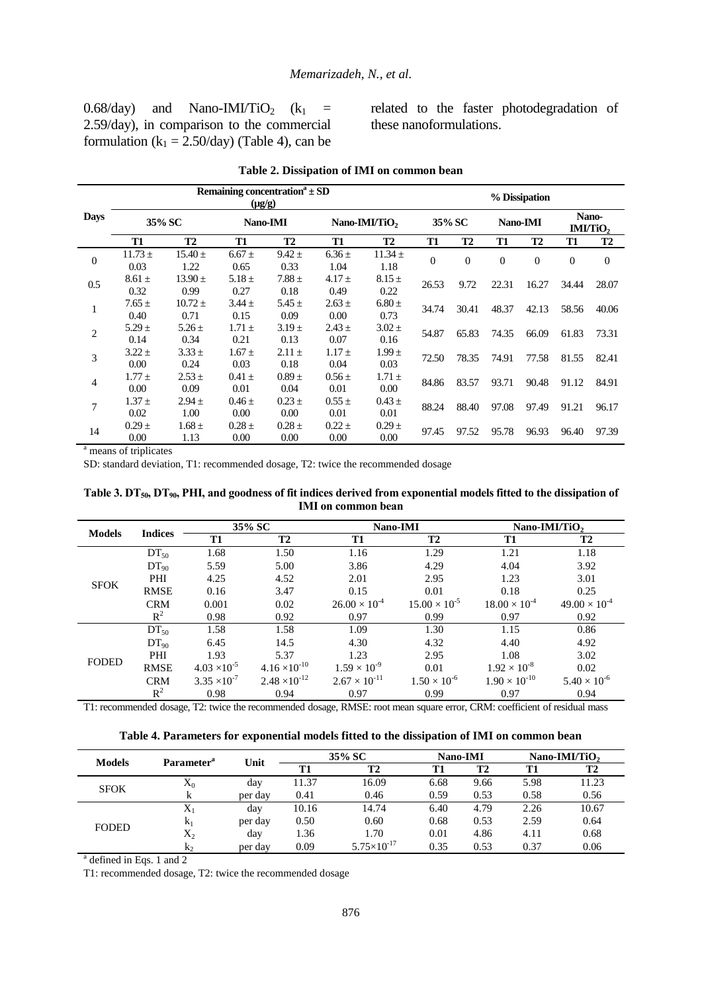0.68/day) and Nano-IMI/TiO<sub>2</sub> ( $k_1$  = 2.59/day), in comparison to the commercial formulation ( $k_1 = 2.50/day$ ) (Table 4), can be related to the faster photodegradation of these nanoformulations.

|                |                     |                       | $(\mu g/g)$        | Remaining concentration <sup>a</sup> $\pm$ SD |                           | % Dissipation       |              |           |              |           |                   |                  |
|----------------|---------------------|-----------------------|--------------------|-----------------------------------------------|---------------------------|---------------------|--------------|-----------|--------------|-----------|-------------------|------------------|
| <b>Days</b>    | 35% SC              |                       | Nano-IMI           |                                               | Nano-IMI/TiO <sub>2</sub> |                     | 35% SC       |           | Nano-IMI     |           | Nano-<br>IMI/TiO2 |                  |
|                | T1                  | T2                    | T1                 | T <sub>2</sub>                                | T1                        | T <sub>2</sub>      | T1           | <b>T2</b> | T1           | <b>T2</b> | T1                | <b>T2</b>        |
| $\mathbf{0}$   | $11.73 \pm$<br>0.03 | $15.40 \pm$<br>1.22   | $6.67 \pm$<br>0.65 | $9.42 \pm$<br>0.33                            | $6.36 \pm$<br>1.04        | $11.34 \pm$<br>1.18 | $\mathbf{0}$ | $\Omega$  | $\mathbf{0}$ | $\Omega$  | $\overline{0}$    | $\boldsymbol{0}$ |
| 0.5            | $8.61 \pm$<br>0.32  | $13.90 \pm 1$<br>0.99 | $5.18 \pm$<br>0.27 | $7.88 \pm$<br>0.18                            | $4.17 \pm$<br>0.49        | $8.15 \pm$<br>0.22  | 26.53        | 9.72      | 22.31        | 16.27     | 34.44             | 28.07            |
| 1              | $7.65 \pm$<br>0.40  | $10.72 \pm$<br>0.71   | $3.44 \pm$<br>0.15 | $5.45 \pm$<br>0.09                            | $2.63 \pm$<br>0.00        | $6.80 \pm$<br>0.73  | 34.74        | 30.41     | 48.37        | 42.13     | 58.56             | 40.06            |
| $\overline{c}$ | $5.29 \pm$<br>0.14  | $5.26 \pm$<br>0.34    | $1.71 \pm$<br>0.21 | $3.19 \pm$<br>0.13                            | $2.43 \pm$<br>0.07        | $3.02 \pm$<br>0.16  | 54.87        | 65.83     | 74.35        | 66.09     | 61.83             | 73.31            |
| 3              | $3.22 \pm$<br>0.00  | $3.33 \pm$<br>0.24    | $1.67 \pm$<br>0.03 | $2.11 \pm$<br>0.18                            | $1.17 \pm$<br>0.04        | $1.99 +$<br>0.03    | 72.50        | 78.35     | 74.91        | 77.58     | 81.55             | 82.41            |
| 4              | $1.77 \pm$<br>0.00  | $2.53 \pm$<br>0.09    | $0.41 \pm$<br>0.01 | $0.89 \pm$<br>0.04                            | $0.56 \pm$<br>0.01        | $1.71 \pm$<br>0.00  | 84.86        | 83.57     | 93.71        | 90.48     | 91.12             | 84.91            |
| 7              | $1.37 \pm$<br>0.02  | $2.94 \pm$<br>1.00    | $0.46 \pm$<br>0.00 | $0.23 \pm$<br>0.00                            | $0.55 \pm$<br>0.01        | $0.43 \pm$<br>0.01  | 88.24        | 88.40     | 97.08        | 97.49     | 91.21             | 96.17            |
| 14             | $0.29 \pm$<br>0.00  | $1.68 \pm$<br>1.13    | $0.28 \pm$<br>0.00 | $0.28 \pm$<br>0.00                            | $0.22 \pm$<br>0.00        | $0.29 \pm$<br>0.00  | 97.45        | 97.52     | 95.78        | 96.93     | 96.40             | 97.39            |

<sup>a</sup> means of triplicates

SD: standard deviation, T1: recommended dosage, T2: twice the recommended dosage

**Table 3. DT50, DT90, PHI, and goodness of fit indices derived from exponential models fitted to the dissipation of IMI on common bean**

| <b>Models</b> |                |                       | 35% SC                 | Nano-IMI               |                        | Nano-IMI/TiO,          |                        |  |
|---------------|----------------|-----------------------|------------------------|------------------------|------------------------|------------------------|------------------------|--|
|               | <b>Indices</b> | <b>T1</b>             | <b>T2</b>              | T1                     | <b>T2</b>              | T1                     | <b>T2</b>              |  |
| <b>SFOK</b>   | $DT_{50}$      | 1.68                  | 1.50                   | 1.16                   | 1.29                   | 1.21                   | 1.18                   |  |
|               | $DT_{90}$      | 5.59                  | 5.00                   | 3.86                   | 4.29                   | 4.04                   | 3.92                   |  |
|               | PHI            | 4.25                  | 4.52                   | 2.01                   | 2.95                   | 1.23                   | 3.01                   |  |
|               | <b>RMSE</b>    | 0.16                  | 3.47                   | 0.15                   | 0.01                   | 0.18                   | 0.25                   |  |
|               | <b>CRM</b>     | 0.001                 | 0.02                   | $26.00 \times 10^{-4}$ | $15.00 \times 10^{-5}$ | $18.00 \times 10^{-4}$ | $49.00 \times 10^{-4}$ |  |
|               | $R^2$          | 0.98                  | 0.92                   | 0.97                   | 0.99                   | 0.97                   | 0.92                   |  |
| <b>FODED</b>  | $DT_{50}$      | 1.58                  | 1.58                   | 1.09                   | 1.30                   | 1.15                   | 0.86                   |  |
|               | $DT_{90}$      | 6.45                  | 14.5                   | 4.30                   | 4.32                   | 4.40                   | 4.92                   |  |
|               | PHI            | 1.93                  | 5.37                   | 1.23                   | 2.95                   | 1.08                   | 3.02                   |  |
|               | <b>RMSE</b>    | $4.03 \times 10^{-5}$ | $4.16 \times 10^{-10}$ | $1.59 \times 10^{-9}$  | 0.01                   | $1.92 \times 10^{-8}$  | 0.02                   |  |
|               | <b>CRM</b>     | $3.35 \times 10^{-7}$ | $2.48 \times 10^{-12}$ | $2.67 \times 10^{-11}$ | $1.50 \times 10^{-6}$  | $1.90 \times 10^{-10}$ | $5.40 \times 10^{-6}$  |  |
|               | $R^2$          | 0.98                  | 0.94                   | 0.97                   | 0.99                   | 0.97                   | 0.94                   |  |

T1: recommended dosage, T2: twice the recommended dosage, RMSE: root mean square error, CRM: coefficient of residual mass

|               | Parameter <sup>a</sup> | Unit    | 35% SC |                        | <b>Nano-IMI</b> |           | Nano-IMI/TiO, |           |
|---------------|------------------------|---------|--------|------------------------|-----------------|-----------|---------------|-----------|
| <b>Models</b> |                        |         | T1     | <b>T2</b>              | T1              | <b>T2</b> | T1            | <b>T2</b> |
| <b>SFOK</b>   | $X_0$                  | day     | 11.37  | 16.09                  | 6.68            | 9.66      | 5.98          | 11.23     |
|               | A                      | per day | 0.41   | 0.46                   | 0.59            | 0.53      | 0.58          | 0.56      |
| <b>FODED</b>  | $\Lambda_1$            | day     | 10.16  | 14.74                  | 6.40            | 4.79      | 2.26          | 10.67     |
|               | $k_1$                  | per day | 0.50   | 0.60                   | 0.68            | 0.53      | 2.59          | 0.64      |
|               | $X_2$                  | day     | 1.36   | 1.70                   | 0.01            | 4.86      | 4.11          | 0.68      |
|               | $k_{2}$                | per day | 0.09   | $5.75 \times 10^{-17}$ | 0.35            | 0.53      | 0.37          | 0.06      |

<sup>a</sup> defined in Eqs. 1 and 2

T1: recommended dosage, T2: twice the recommended dosage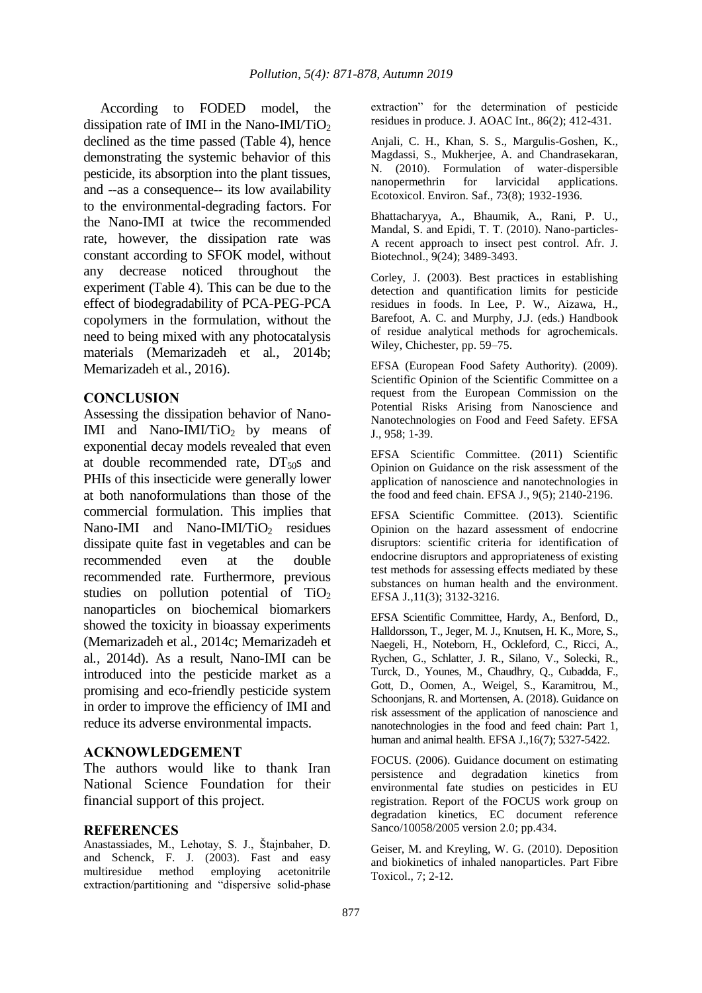According to FODED model, the dissipation rate of IMI in the Nano-IMI/TiO<sub>2</sub> declined as the time passed (Table 4), hence demonstrating the systemic behavior of this pesticide, its absorption into the plant tissues, and --as a consequence-- its low availability to the environmental-degrading factors. For the Nano-IMI at twice the recommended rate, however, the dissipation rate was constant according to SFOK model, without any decrease noticed throughout the experiment (Table 4). This can be due to the effect of biodegradability of PCA-PEG-PCA copolymers in the formulation, without the need to being mixed with any photocatalysis materials (Memarizadeh et al*.,* 2014b; Memarizadeh et al*.*, 2016).

### **CONCLUSION**

Assessing the dissipation behavior of Nano-IMI and Nano-IMI/TiO<sub>2</sub> by means of exponential decay models revealed that even at double recommended rate,  $DT<sub>50</sub>s$  and PHIs of this insecticide were generally lower at both nanoformulations than those of the commercial formulation. This implies that Nano-IMI and Nano-IMI/TiO<sub>2</sub> residues dissipate quite fast in vegetables and can be recommended even at the double recommended rate. Furthermore, previous studies on pollution potential of  $TiO<sub>2</sub>$ nanoparticles on biochemical biomarkers showed the toxicity in bioassay experiments (Memarizadeh et al*.,* 2014c; Memarizadeh et al*.,* 2014d). As a result, Nano-IMI can be introduced into the pesticide market as a promising and eco-friendly pesticide system in order to improve the efficiency of IMI and reduce its adverse environmental impacts.

### **ACKNOWLEDGEMENT**

The authors would like to thank Iran National Science Foundation for their financial support of this project.

#### **REFERENCES**

Anastassiades, M., Lehotay, S. J., Štajnbaher, D. and Schenck, F. J. (2003). Fast and easy multiresidue method employing acetonitrile extraction/partitioning and "dispersive solid-phase extraction" for the determination of pesticide residues in produce. J. AOAC Int., 86(2); 412-431.

Anjali, C. H., Khan, S. S., Margulis-Goshen, K., Magdassi, S., Mukherjee, A. and Chandrasekaran, N. (2010). Formulation of water-dispersible nanopermethrin for larvicidal applications. Ecotoxicol. Environ. Saf., 73(8); 1932-1936.

Bhattacharyya, A., Bhaumik, A., Rani, P. U., Mandal, S. and Epidi, T. T. (2010). Nano-particles-A recent approach to insect pest control. Afr. J. Biotechnol., 9(24); 3489-3493.

Corley, J. (2003). Best practices in establishing detection and quantification limits for pesticide residues in foods. In Lee, P. W., Aizawa, H., Barefoot, A. C. and Murphy, J.J. (eds.) Handbook of residue analytical methods for agrochemicals. Wiley, Chichester, pp. 59–75.

EFSA (European Food Safety Authority). (2009). Scientific Opinion of the Scientific Committee on a request from the European Commission on the Potential Risks Arising from Nanoscience and Nanotechnologies on Food and Feed Safety. EFSA J., 958; 1-39.

EFSA Scientific Committee. (2011) Scientific Opinion on Guidance on the risk assessment of the application of nanoscience and nanotechnologies in the food and feed chain. EFSA J., 9(5); 2140-2196.

EFSA Scientific Committee. (2013). Scientific Opinion on the hazard assessment of endocrine disruptors: scientific criteria for identification of endocrine disruptors and appropriateness of existing test methods for assessing effects mediated by these substances on human health and the environment. EFSA J.,11(3); 3132-3216.

EFSA Scientific Committee, Hardy, A., Benford, D., Halldorsson, T., Jeger, M. J., Knutsen, H. K., More, S., Naegeli, H., Noteborn, H., Ockleford, C., Ricci, A., Rychen, G., Schlatter, J. R., Silano, V., Solecki, R., Turck, D., Younes, M., Chaudhry, Q., Cubadda, F., Gott, D., Oomen, A., Weigel, S., Karamitrou, M., Schoonjans, R. and Mortensen, A. (2018). Guidance on risk assessment of the application of nanoscience and nanotechnologies in the food and feed chain: Part 1, human and animal health. EFSA J.,16(7); 5327-5422.

FOCUS. (2006). Guidance document on estimating persistence and degradation kinetics from environmental fate studies on pesticides in EU registration. Report of the FOCUS work group on degradation kinetics, EC document reference Sanco/10058/2005 version 2.0; pp.434.

Geiser, M. and Kreyling, W. G. (2010). Deposition and biokinetics of inhaled nanoparticles. Part Fibre Toxicol., 7; 2-12.